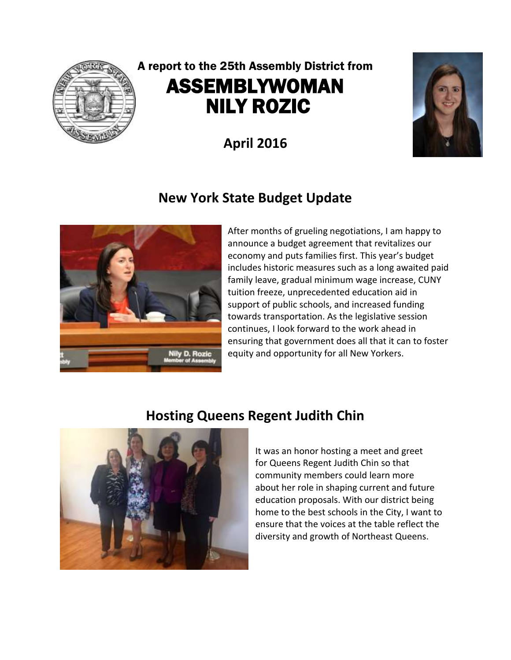

# A report to the 25th Assembly District from ASSEMBLYWOMAN NILY ROZIC

**April 2016**

### **New York State Budget Update**



After months of grueling negotiations, I am happy to announce a budget agreement that revitalizes our economy and puts families first. This year's budget includes historic measures such as a long awaited paid family leave, gradual minimum wage increase, CUNY tuition freeze, unprecedented education aid in support of public schools, and increased funding towards transportation. As the legislative session continues, I look forward to the work ahead in ensuring that government does all that it can to foster equity and opportunity for all New Yorkers.

#### **Hosting Queens Regent Judith Chin**



It was an honor hosting a meet and greet for Queens Regent Judith Chin so that community members could learn more about her role in shaping current and future education proposals. With our district being home to the best schools in the City, I want to ensure that the voices at the table reflect the diversity and growth of Northeast Queens.